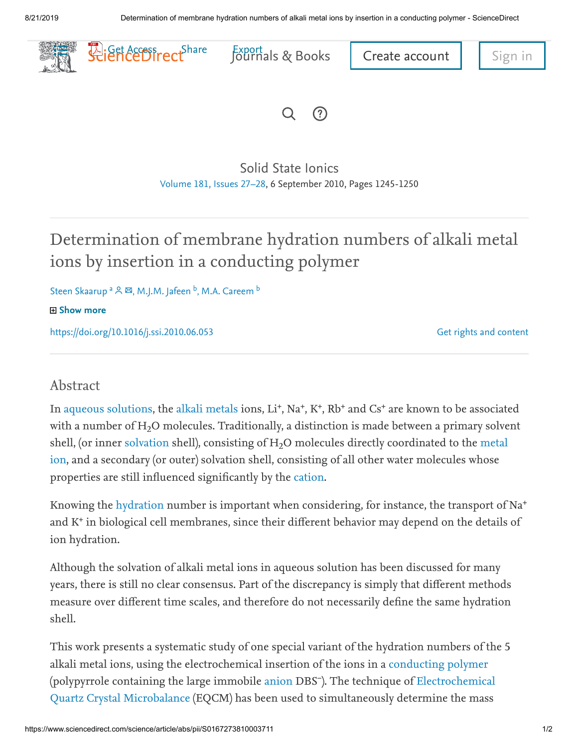

 $\Omega$  $(?)$ 

[Solid State Ionics](https://www.sciencedirect.com/science/journal/01672738) [Volume 181, Issues 27–28](https://www.sciencedirect.com/science/journal/01672738/181/27), 6 September 2010, Pages 1245-1250

## Determination of membrane hydration numbers of alkali metal ions by insertion in a conducting polymer

Steen Skaarup <sup>a 이 </sup> 께, M.J.M. Jafeen <sup>b</sup>, M.A. Careem <sup>b</sup>

田 Show more

<https://doi.org/10.1016/j.ssi.2010.06.053>

[Get rights and content](https://s100.copyright.com/AppDispatchServlet?publisherName=ELS&contentID=S0167273810003711&orderBeanReset=true)

## Abstract

In [aqueous solutions,](https://www.sciencedirect.com/topics/physics-and-astronomy/aqueous-solutions) the [alkali metals](https://www.sciencedirect.com/topics/physics-and-astronomy/alkali-metals) ions, Li<sup>+</sup>, Na<sup>+</sup>, K<sup>+</sup>, Rb<sup>+</sup> and Cs<sup>+</sup> are known to be associated with a number of H2O molecules. Traditionally, a distinction is made between a primary solvent shell, (or inner [solvation](https://www.sciencedirect.com/topics/physics-and-astronomy/solvation) shell), consisting of  $\rm H_2O$  molecules directly coordinated to the metal ion, and a secondary (or outer) solvation [shell, consisting of all other water molecules whose](https://www.sciencedirect.com/topics/physics-and-astronomy/metal-ions) properties are still influenced significantly by the [cation](https://www.sciencedirect.com/topics/chemistry/cation).

Knowing the [hydration](https://www.sciencedirect.com/topics/physics-and-astronomy/hydration) number is important when considering, for instance, the transport of Na<sup>+</sup> and  $K^+$  in biological cell membranes, since their different behavior may depend on the details of ion hydration.

Although the solvation of alkali metal ions in aqueous solution has been discussed for many years, there is still no clear consensus. Part of the discrepancy is simply that different methods measure over different time scales, and therefore do not necessarily define the same hydration shell.

This work presents a systematic study of one special variant of the hydration numbers of the 5 alkali metal ions, using the electrochemical insertion of the ions in a [conducting polymer](https://www.sciencedirect.com/topics/physics-and-astronomy/conducting-polymers) (polypyrrole containing the large immobile [anion](https://www.sciencedirect.com/topics/physics-and-astronomy/anion) DBS<sup>-</sup>). The technique of Electrochemical [Quartz Crystal Microbalance \(EQCM\) has been used to simultaneously determine the mass](https://www.sciencedirect.com/topics/chemistry/electrochemical-quartz-crystal-microbalance)